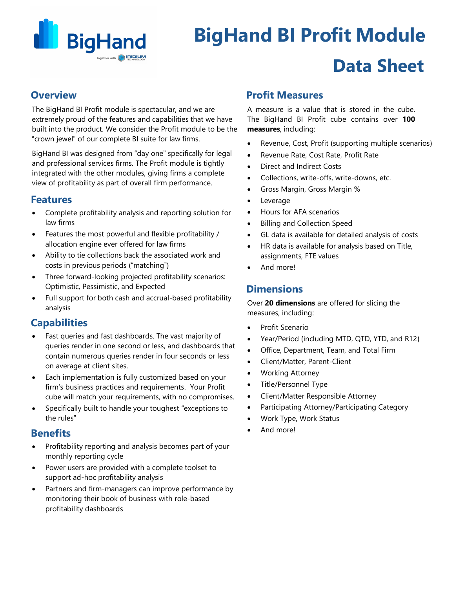

# **BigHand BI Profit Module Data Sheet**

## **Overview**

The BigHand BI Profit module is spectacular, and we are extremely proud of the features and capabilities that we have built into the product. We consider the Profit module to be the "crown jewel" of our complete BI suite for law firms.

BigHand BI was designed from "day one" specifically for legal and professional services firms. The Profit module is tightly integrated with the other modules, giving firms a complete view of profitability as part of overall firm performance.

## **Features**

- Complete profitability analysis and reporting solution for law firms
- Features the most powerful and flexible profitability / allocation engine ever offered for law firms
- Ability to tie collections back the associated work and costs in previous periods ("matching")
- Three forward-looking projected profitability scenarios: Optimistic, Pessimistic, and Expected
- Full support for both cash and accrual-based profitability analysis

## **Capabilities**

- Fast queries and fast dashboards. The vast majority of queries render in one second or less, and dashboards that contain numerous queries render in four seconds or less on average at client sites.
- Each implementation is fully customized based on your firm's business practices and requirements. Your Profit cube will match your requirements, with no compromises.
- Specifically built to handle your toughest "exceptions to the rules"

## **Benefits**

- Profitability reporting and analysis becomes part of your monthly reporting cycle
- Power users are provided with a complete toolset to support ad-hoc profitability analysis
- Partners and firm-managers can improve performance by monitoring their book of business with role-based profitability dashboards

## **Profit Measures**

A measure is a value that is stored in the cube. The BigHand BI Profit cube contains over **100 measures**, including:

- Revenue, Cost, Profit (supporting multiple scenarios)
- Revenue Rate, Cost Rate, Profit Rate
- Direct and Indirect Costs
- Collections, write-offs, write-downs, etc.
- Gross Margin, Gross Margin %
- **Leverage**
- Hours for AFA scenarios
- Billing and Collection Speed
- GL data is available for detailed analysis of costs
- HR data is available for analysis based on Title, assignments, FTE values
- And more!

## **Dimensions**

Over **20 dimensions** are offered for slicing the measures, including:

- Profit Scenario
- Year/Period (including MTD, QTD, YTD, and R12)
- Office, Department, Team, and Total Firm
- Client/Matter, Parent-Client
- Working Attorney
- Title/Personnel Type
- Client/Matter Responsible Attorney
- Participating Attorney/Participating Category
- Work Type, Work Status
- And more!